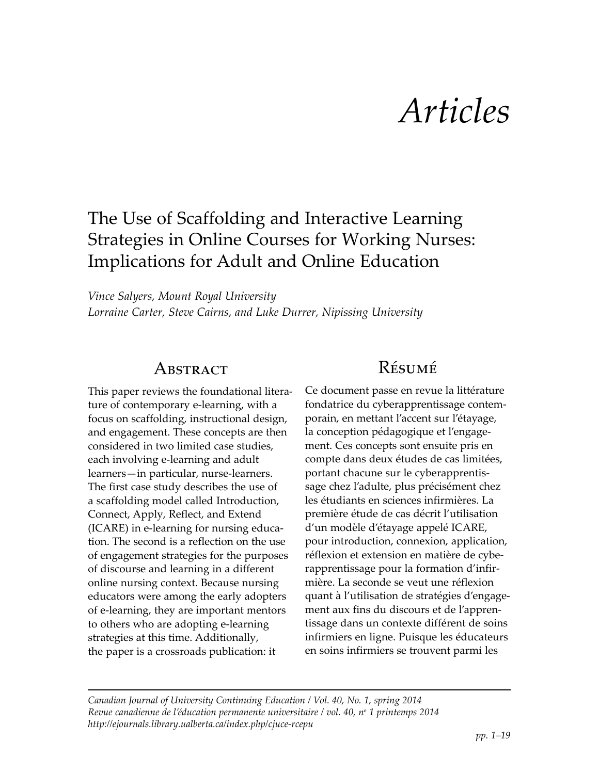# *Articles*

# The Use of Scaffolding and Interactive Learning Strategies in Online Courses for Working Nurses: Implications for Adult and Online Education

*Vince Salyers, Mount Royal University Lorraine Carter, Steve Cairns, and Luke Durrer, Nipissing University*

#### **ABSTRACT**

This paper reviews the foundational literature of contemporary e-learning, with a focus on scaffolding, instructional design, and engagement. These concepts are then considered in two limited case studies, each involving e-learning and adult learners—in particular, nurse-learners. The first case study describes the use of a scaffolding model called Introduction, Connect, Apply, Reflect, and Extend (ICARE) in e-learning for nursing education. The second is a reflection on the use of engagement strategies for the purposes of discourse and learning in a different online nursing context. Because nursing educators were among the early adopters of e-learning, they are important mentors to others who are adopting e-learning strategies at this time. Additionally, the paper is a crossroads publication: it

# Résumé

Ce document passe en revue la littérature fondatrice du cyberapprentissage contemporain, en mettant l'accent sur l'étayage, la conception pédagogique et l'engagement. Ces concepts sont ensuite pris en compte dans deux études de cas limitées, portant chacune sur le cyberapprentissage chez l'adulte, plus précisément chez les étudiants en sciences infirmières. La première étude de cas décrit l'utilisation d'un modèle d'étayage appelé ICARE, pour introduction, connexion, application, réflexion et extension en matière de cyberapprentissage pour la formation d'infirmière. La seconde se veut une réflexion quant à l'utilisation de stratégies d'engagement aux fins du discours et de l'apprentissage dans un contexte différent de soins infirmiers en ligne. Puisque les éducateurs en soins infirmiers se trouvent parmi les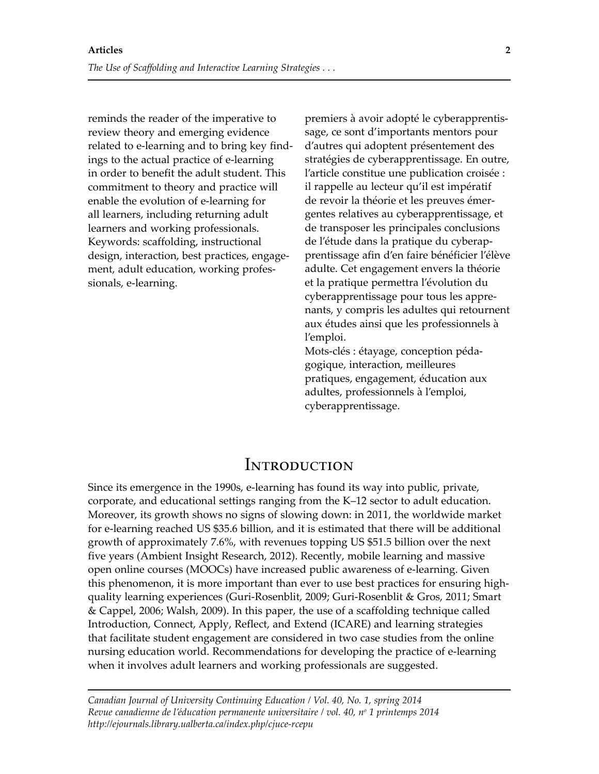reminds the reader of the imperative to review theory and emerging evidence related to e-learning and to bring key findings to the actual practice of e-learning in order to benefit the adult student. This commitment to theory and practice will enable the evolution of e-learning for all learners, including returning adult learners and working professionals. Keywords: scaffolding, instructional design, interaction, best practices, engagement, adult education, working professionals, e-learning.

premiers à avoir adopté le cyberapprentissage, ce sont d'importants mentors pour d'autres qui adoptent présentement des stratégies de cyberapprentissage. En outre, l'article constitue une publication croisée : il rappelle au lecteur qu'il est impératif de revoir la théorie et les preuves émergentes relatives au cyberapprentissage, et de transposer les principales conclusions de l'étude dans la pratique du cyberapprentissage afin d'en faire bénéficier l'élève adulte. Cet engagement envers la théorie et la pratique permettra l'évolution du cyberapprentissage pour tous les apprenants, y compris les adultes qui retournent aux études ainsi que les professionnels à l'emploi.

Mots-clés : étayage, conception pédagogique, interaction, meilleures pratiques, engagement, éducation aux adultes, professionnels à l'emploi, cyberapprentissage.

# **INTRODUCTION**

Since its emergence in the 1990s, e-learning has found its way into public, private, corporate, and educational settings ranging from the K–12 sector to adult education. Moreover, its growth shows no signs of slowing down: in 2011, the worldwide market for e-learning reached US \$35.6 billion, and it is estimated that there will be additional growth of approximately 7.6%, with revenues topping US \$51.5 billion over the next five years (Ambient Insight Research, 2012). Recently, mobile learning and massive open online courses (MOOCs) have increased public awareness of e-learning. Given this phenomenon, it is more important than ever to use best practices for ensuring highquality learning experiences (Guri-Rosenblit, 2009; Guri-Rosenblit & Gros, 2011; Smart & Cappel, 2006; Walsh, 2009). In this paper, the use of a scaffolding technique called Introduction, Connect, Apply, Reflect, and Extend (ICARE) and learning strategies that facilitate student engagement are considered in two case studies from the online nursing education world. Recommendations for developing the practice of e-learning when it involves adult learners and working professionals are suggested.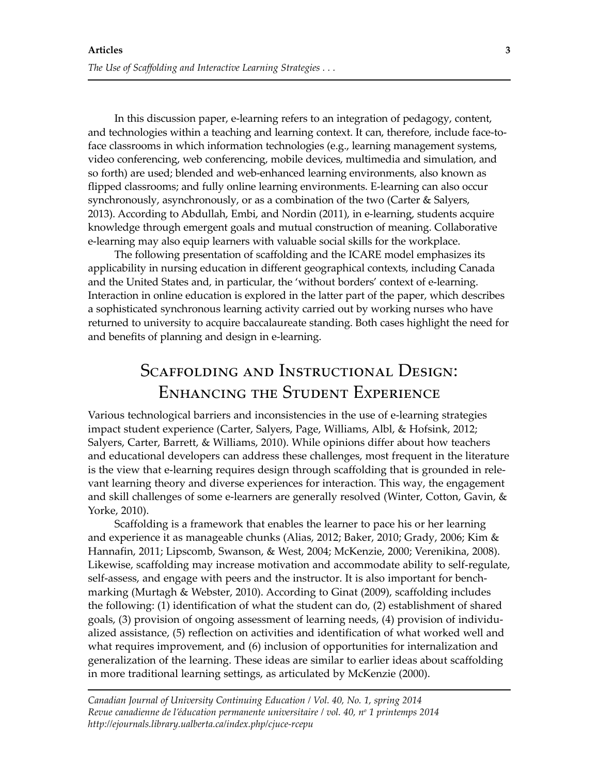In this discussion paper, e-learning refers to an integration of pedagogy, content, and technologies within a teaching and learning context. It can, therefore, include face-toface classrooms in which information technologies (e.g., learning management systems, video conferencing, web conferencing, mobile devices, multimedia and simulation, and so forth) are used; blended and web-enhanced learning environments, also known as flipped classrooms; and fully online learning environments. E-learning can also occur synchronously, asynchronously, or as a combination of the two (Carter & Salyers, 2013). According to Abdullah, Embi, and Nordin (2011), in e-learning, students acquire knowledge through emergent goals and mutual construction of meaning. Collaborative e-learning may also equip learners with valuable social skills for the workplace.

The following presentation of scaffolding and the ICARE model emphasizes its applicability in nursing education in different geographical contexts, including Canada and the United States and, in particular, the 'without borders' context of e-learning. Interaction in online education is explored in the latter part of the paper, which describes a sophisticated synchronous learning activity carried out by working nurses who have returned to university to acquire baccalaureate standing. Both cases highlight the need for and benefits of planning and design in e-learning.

# SCAFFOLDING AND INSTRUCTIONAL DESIGN: Enhancing the Student Experience

Various technological barriers and inconsistencies in the use of e-learning strategies impact student experience (Carter, Salyers, Page, Williams, Albl, & Hofsink, 2012; Salyers, Carter, Barrett, & Williams, 2010). While opinions differ about how teachers and educational developers can address these challenges, most frequent in the literature is the view that e-learning requires design through scaffolding that is grounded in relevant learning theory and diverse experiences for interaction. This way, the engagement and skill challenges of some e-learners are generally resolved (Winter, Cotton, Gavin, & Yorke, 2010).

Scaffolding is a framework that enables the learner to pace his or her learning and experience it as manageable chunks (Alias, 2012; Baker, 2010; Grady, 2006; Kim & Hannafin, 2011; Lipscomb, Swanson, & West, 2004; McKenzie, 2000; Verenikina, 2008). Likewise, scaffolding may increase motivation and accommodate ability to self-regulate, self-assess, and engage with peers and the instructor. It is also important for benchmarking (Murtagh & Webster, 2010). According to Ginat (2009), scaffolding includes the following: (1) identification of what the student can do, (2) establishment of shared goals, (3) provision of ongoing assessment of learning needs, (4) provision of individualized assistance, (5) reflection on activities and identification of what worked well and what requires improvement, and (6) inclusion of opportunities for internalization and generalization of the learning. These ideas are similar to earlier ideas about scaffolding in more traditional learning settings, as articulated by McKenzie (2000).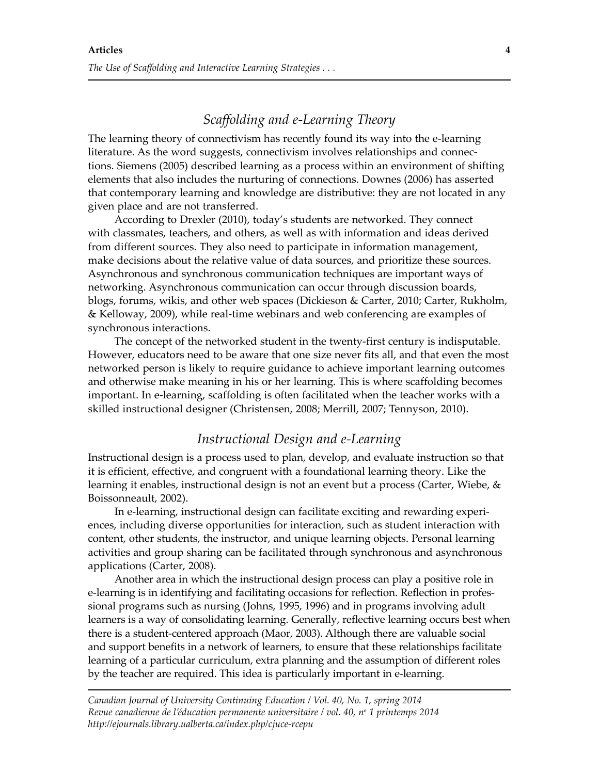#### *Scaffolding and e-Learning Theory*

The learning theory of connectivism has recently found its way into the e-learning literature. As the word suggests, connectivism involves relationships and connections. Siemens (2005) described learning as a process within an environment of shifting elements that also includes the nurturing of connections. Downes (2006) has asserted that contemporary learning and knowledge are distributive: they are not located in any given place and are not transferred.

According to Drexler (2010), today's students are networked. They connect with classmates, teachers, and others, as well as with information and ideas derived from different sources. They also need to participate in information management, make decisions about the relative value of data sources, and prioritize these sources. Asynchronous and synchronous communication techniques are important ways of networking. Asynchronous communication can occur through discussion boards, blogs, forums, wikis, and other web spaces (Dickieson & Carter, 2010; Carter, Rukholm, & Kelloway, 2009), while real-time webinars and web conferencing are examples of synchronous interactions.

The concept of the networked student in the twenty-first century is indisputable. However, educators need to be aware that one size never fits all, and that even the most networked person is likely to require guidance to achieve important learning outcomes and otherwise make meaning in his or her learning. This is where scaffolding becomes important. In e-learning, scaffolding is often facilitated when the teacher works with a skilled instructional designer (Christensen, 2008; Merrill, 2007; Tennyson, 2010).

#### *Instructional Design and e-Learning*

Instructional design is a process used to plan, develop, and evaluate instruction so that it is efficient, effective, and congruent with a foundational learning theory. Like the learning it enables, instructional design is not an event but a process (Carter, Wiebe, & Boissonneault, 2002).

In e-learning, instructional design can facilitate exciting and rewarding experiences, including diverse opportunities for interaction, such as student interaction with content, other students, the instructor, and unique learning objects. Personal learning activities and group sharing can be facilitated through synchronous and asynchronous applications (Carter, 2008).

Another area in which the instructional design process can play a positive role in e-learning is in identifying and facilitating occasions for reflection. Reflection in professional programs such as nursing (Johns, 1995, 1996) and in programs involving adult learners is a way of consolidating learning. Generally, reflective learning occurs best when there is a student-centered approach (Maor, 2003). Although there are valuable social and support benefits in a network of learners, to ensure that these relationships facilitate learning of a particular curriculum, extra planning and the assumption of different roles by the teacher are required. This idea is particularly important in e-learning.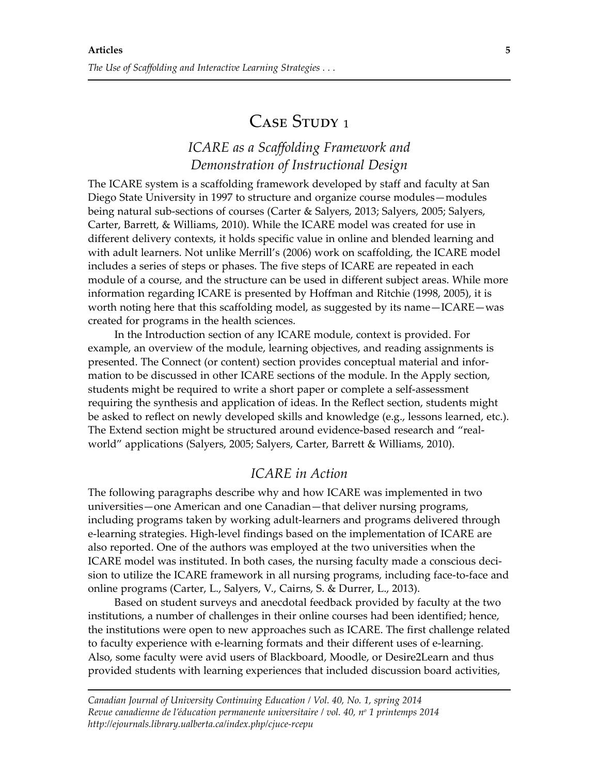# CASE STUDY 1

# *ICARE as a Scaffolding Framework and Demonstration of Instructional Design*

The ICARE system is a scaffolding framework developed by staff and faculty at San Diego State University in 1997 to structure and organize course modules—modules being natural sub-sections of courses (Carter & Salyers, 2013; Salyers, 2005; Salyers, Carter, Barrett, & Williams, 2010). While the ICARE model was created for use in different delivery contexts, it holds specific value in online and blended learning and with adult learners. Not unlike Merrill's (2006) work on scaffolding, the ICARE model includes a series of steps or phases. The five steps of ICARE are repeated in each module of a course, and the structure can be used in different subject areas. While more information regarding ICARE is presented by Hoffman and Ritchie (1998, 2005), it is worth noting here that this scaffolding model, as suggested by its name—ICARE—was created for programs in the health sciences.

In the Introduction section of any ICARE module, context is provided. For example, an overview of the module, learning objectives, and reading assignments is presented. The Connect (or content) section provides conceptual material and information to be discussed in other ICARE sections of the module. In the Apply section, students might be required to write a short paper or complete a self-assessment requiring the synthesis and application of ideas. In the Reflect section, students might be asked to reflect on newly developed skills and knowledge (e.g., lessons learned, etc.). The Extend section might be structured around evidence-based research and "realworld" applications (Salyers, 2005; Salyers, Carter, Barrett & Williams, 2010).

#### *ICARE in Action*

The following paragraphs describe why and how ICARE was implemented in two universities—one American and one Canadian—that deliver nursing programs, including programs taken by working adult-learners and programs delivered through e-learning strategies. High-level findings based on the implementation of ICARE are also reported. One of the authors was employed at the two universities when the ICARE model was instituted. In both cases, the nursing faculty made a conscious decision to utilize the ICARE framework in all nursing programs, including face-to-face and online programs (Carter, L., Salyers, V., Cairns, S. & Durrer, L., 2013).

Based on student surveys and anecdotal feedback provided by faculty at the two institutions, a number of challenges in their online courses had been identified; hence, the institutions were open to new approaches such as ICARE. The first challenge related to faculty experience with e-learning formats and their different uses of e-learning. Also, some faculty were avid users of Blackboard, Moodle, or Desire2Learn and thus provided students with learning experiences that included discussion board activities,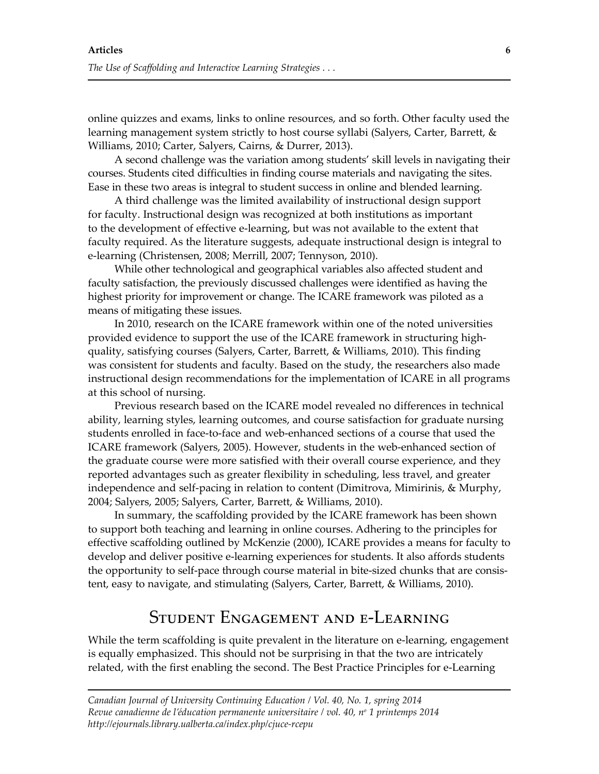online quizzes and exams, links to online resources, and so forth. Other faculty used the learning management system strictly to host course syllabi (Salyers, Carter, Barrett, & Williams, 2010; Carter, Salyers, Cairns, & Durrer, 2013).

A second challenge was the variation among students' skill levels in navigating their courses. Students cited difficulties in finding course materials and navigating the sites. Ease in these two areas is integral to student success in online and blended learning.

A third challenge was the limited availability of instructional design support for faculty. Instructional design was recognized at both institutions as important to the development of effective e-learning, but was not available to the extent that faculty required. As the literature suggests, adequate instructional design is integral to e-learning (Christensen, 2008; Merrill, 2007; Tennyson, 2010).

While other technological and geographical variables also affected student and faculty satisfaction, the previously discussed challenges were identified as having the highest priority for improvement or change. The ICARE framework was piloted as a means of mitigating these issues.

In 2010, research on the ICARE framework within one of the noted universities provided evidence to support the use of the ICARE framework in structuring highquality, satisfying courses (Salyers, Carter, Barrett, & Williams, 2010). This finding was consistent for students and faculty. Based on the study, the researchers also made instructional design recommendations for the implementation of ICARE in all programs at this school of nursing.

Previous research based on the ICARE model revealed no differences in technical ability, learning styles, learning outcomes, and course satisfaction for graduate nursing students enrolled in face-to-face and web-enhanced sections of a course that used the ICARE framework (Salyers, 2005). However, students in the web-enhanced section of the graduate course were more satisfied with their overall course experience, and they reported advantages such as greater flexibility in scheduling, less travel, and greater independence and self-pacing in relation to content (Dimitrova, Mimirinis, & Murphy, 2004; Salyers, 2005; Salyers, Carter, Barrett, & Williams, 2010).

In summary, the scaffolding provided by the ICARE framework has been shown to support both teaching and learning in online courses. Adhering to the principles for effective scaffolding outlined by McKenzie (2000), ICARE provides a means for faculty to develop and deliver positive e-learning experiences for students. It also affords students the opportunity to self-pace through course material in bite-sized chunks that are consistent, easy to navigate, and stimulating (Salyers, Carter, Barrett, & Williams, 2010).

# Student Engagement and e-Learning

While the term scaffolding is quite prevalent in the literature on e-learning, engagement is equally emphasized. This should not be surprising in that the two are intricately related, with the first enabling the second. The Best Practice Principles for e-Learning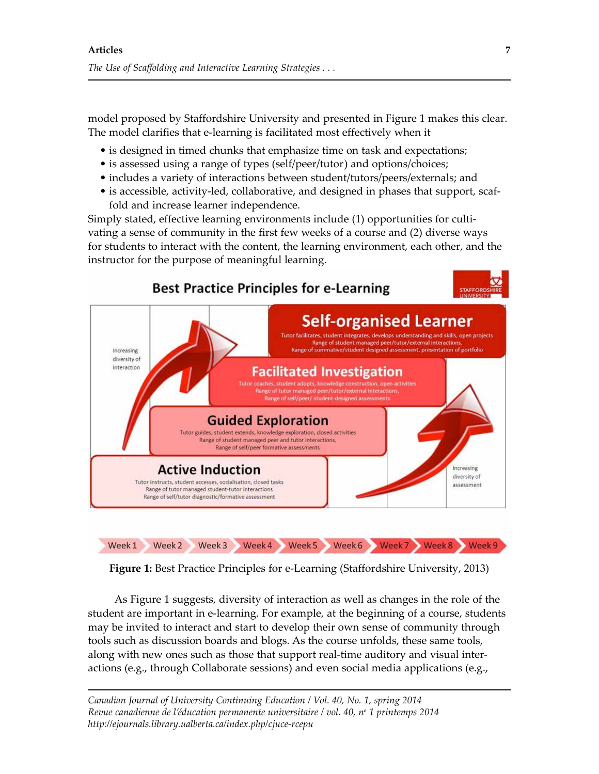model proposed by Staffordshire University and presented in Figure 1 makes this clear. The model clarifies that e-learning is facilitated most effectively when it

- is designed in timed chunks that emphasize time on task and expectations;
- is assessed using a range of types (self/peer/tutor) and options/choices;
- includes a variety of interactions between student/tutors/peers/externals; and
- is accessible, activity-led, collaborative, and designed in phases that support, scaffold and increase learner independence.

Simply stated, effective learning environments include (1) opportunities for cultivating a sense of community in the first few weeks of a course and (2) diverse ways for students to interact with the content, the learning environment, each other, and the instructor for the purpose of meaningful learning.



**Figure 1:** Best Practice Principles for e-Learning (Staffordshire University, 2013)

Week5 Week6 Week7

Week 8

Week 9

As Figure 1 suggests, diversity of interaction as well as changes in the role of the student are important in e-learning. For example, at the beginning of a course, students may be invited to interact and start to develop their own sense of community through tools such as discussion boards and blogs. As the course unfolds, these same tools, along with new ones such as those that support real-time auditory and visual interactions (e.g., through Collaborate sessions) and even social media applications (e.g.,

*Canadian Journal of University Continuing Education / Vol. 40, No. 1, spring 2014 Revue canadienne de l'éducation permanente universitaire / vol. 40, no 1 printemps 2014 http://ejournals.library.ualberta.ca/index.php/cjuce-rcepu*

Week 4

Week 1

Week<sub>2</sub>

Week<sub>3</sub>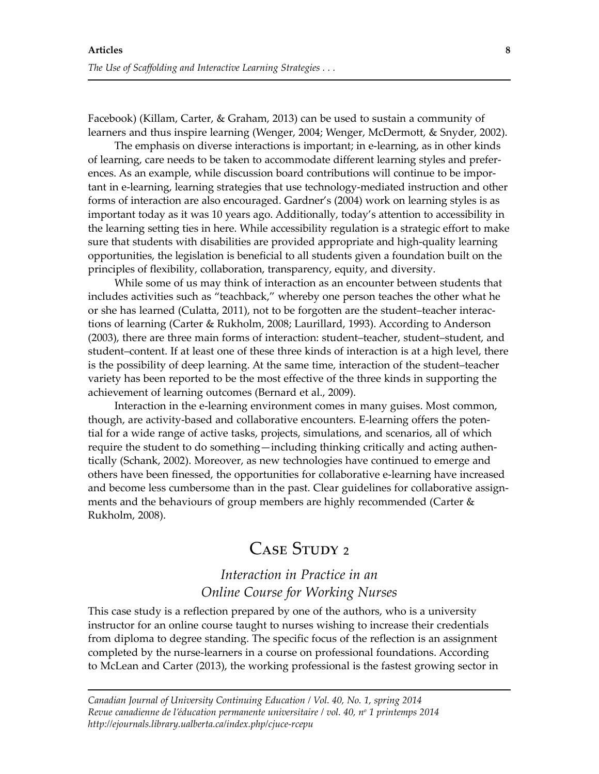Facebook) (Killam, Carter, & Graham, 2013) can be used to sustain a community of learners and thus inspire learning (Wenger, 2004; Wenger, McDermott, & Snyder, 2002).

The emphasis on diverse interactions is important; in e-learning, as in other kinds of learning, care needs to be taken to accommodate different learning styles and preferences. As an example, while discussion board contributions will continue to be important in e-learning, learning strategies that use technology-mediated instruction and other forms of interaction are also encouraged. Gardner's (2004) work on learning styles is as important today as it was 10 years ago. Additionally, today's attention to accessibility in the learning setting ties in here. While accessibility regulation is a strategic effort to make sure that students with disabilities are provided appropriate and high-quality learning opportunities, the legislation is beneficial to all students given a foundation built on the principles of flexibility, collaboration, transparency, equity, and diversity.

While some of us may think of interaction as an encounter between students that includes activities such as "teachback," whereby one person teaches the other what he or she has learned (Culatta, 2011), not to be forgotten are the student–teacher interactions of learning (Carter & Rukholm, 2008; Laurillard, 1993). According to Anderson (2003), there are three main forms of interaction: student–teacher, student–student, and student–content. If at least one of these three kinds of interaction is at a high level, there is the possibility of deep learning. At the same time, interaction of the student–teacher variety has been reported to be the most effective of the three kinds in supporting the achievement of learning outcomes (Bernard et al., 2009).

Interaction in the e-learning environment comes in many guises. Most common, though, are activity-based and collaborative encounters. E-learning offers the potential for a wide range of active tasks, projects, simulations, and scenarios, all of which require the student to do something—including thinking critically and acting authentically (Schank, 2002). Moreover, as new technologies have continued to emerge and others have been finessed, the opportunities for collaborative e-learning have increased and become less cumbersome than in the past. Clear guidelines for collaborative assignments and the behaviours of group members are highly recommended (Carter & Rukholm, 2008).

# CASE STUDY 2

#### *Interaction in Practice in an Online Course for Working Nurses*

This case study is a reflection prepared by one of the authors, who is a university instructor for an online course taught to nurses wishing to increase their credentials from diploma to degree standing. The specific focus of the reflection is an assignment completed by the nurse-learners in a course on professional foundations. According to McLean and Carter (2013), the working professional is the fastest growing sector in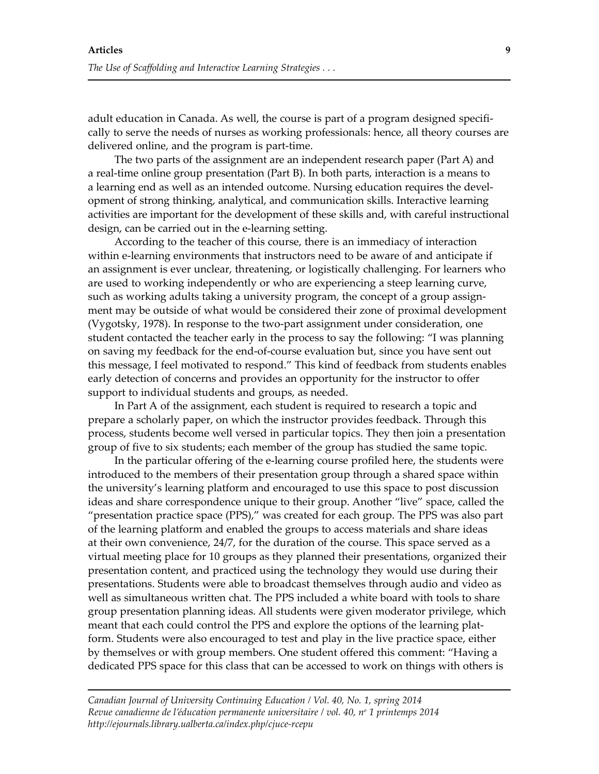adult education in Canada. As well, the course is part of a program designed specifically to serve the needs of nurses as working professionals: hence, all theory courses are delivered online, and the program is part-time.

The two parts of the assignment are an independent research paper (Part A) and a real-time online group presentation (Part B). In both parts, interaction is a means to a learning end as well as an intended outcome. Nursing education requires the development of strong thinking, analytical, and communication skills. Interactive learning activities are important for the development of these skills and, with careful instructional design, can be carried out in the e-learning setting.

According to the teacher of this course, there is an immediacy of interaction within e-learning environments that instructors need to be aware of and anticipate if an assignment is ever unclear, threatening, or logistically challenging. For learners who are used to working independently or who are experiencing a steep learning curve, such as working adults taking a university program, the concept of a group assignment may be outside of what would be considered their zone of proximal development (Vygotsky, 1978). In response to the two-part assignment under consideration, one student contacted the teacher early in the process to say the following: "I was planning on saving my feedback for the end-of-course evaluation but, since you have sent out this message, I feel motivated to respond." This kind of feedback from students enables early detection of concerns and provides an opportunity for the instructor to offer support to individual students and groups, as needed.

In Part A of the assignment, each student is required to research a topic and prepare a scholarly paper, on which the instructor provides feedback. Through this process, students become well versed in particular topics. They then join a presentation group of five to six students; each member of the group has studied the same topic.

In the particular offering of the e-learning course profiled here, the students were introduced to the members of their presentation group through a shared space within the university's learning platform and encouraged to use this space to post discussion ideas and share correspondence unique to their group. Another "live" space, called the "presentation practice space (PPS)," was created for each group. The PPS was also part of the learning platform and enabled the groups to access materials and share ideas at their own convenience, 24/7, for the duration of the course. This space served as a virtual meeting place for 10 groups as they planned their presentations, organized their presentation content, and practiced using the technology they would use during their presentations. Students were able to broadcast themselves through audio and video as well as simultaneous written chat. The PPS included a white board with tools to share group presentation planning ideas. All students were given moderator privilege, which meant that each could control the PPS and explore the options of the learning platform. Students were also encouraged to test and play in the live practice space, either by themselves or with group members. One student offered this comment: "Having a dedicated PPS space for this class that can be accessed to work on things with others is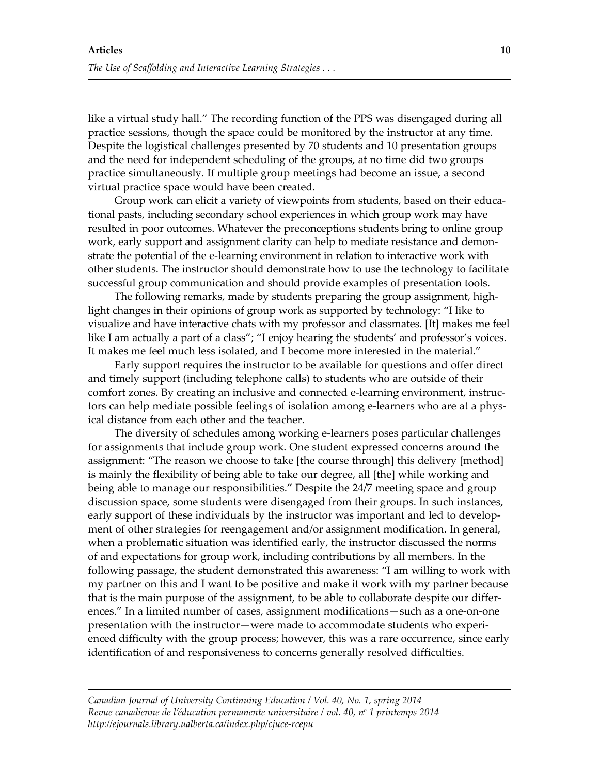like a virtual study hall." The recording function of the PPS was disengaged during all practice sessions, though the space could be monitored by the instructor at any time. Despite the logistical challenges presented by 70 students and 10 presentation groups and the need for independent scheduling of the groups, at no time did two groups practice simultaneously. If multiple group meetings had become an issue, a second virtual practice space would have been created.

Group work can elicit a variety of viewpoints from students, based on their educational pasts, including secondary school experiences in which group work may have resulted in poor outcomes. Whatever the preconceptions students bring to online group work, early support and assignment clarity can help to mediate resistance and demonstrate the potential of the e-learning environment in relation to interactive work with other students. The instructor should demonstrate how to use the technology to facilitate successful group communication and should provide examples of presentation tools.

The following remarks, made by students preparing the group assignment, highlight changes in their opinions of group work as supported by technology: "I like to visualize and have interactive chats with my professor and classmates. [It] makes me feel like I am actually a part of a class"; "I enjoy hearing the students' and professor's voices. It makes me feel much less isolated, and I become more interested in the material."

Early support requires the instructor to be available for questions and offer direct and timely support (including telephone calls) to students who are outside of their comfort zones. By creating an inclusive and connected e-learning environment, instructors can help mediate possible feelings of isolation among e-learners who are at a physical distance from each other and the teacher.

The diversity of schedules among working e-learners poses particular challenges for assignments that include group work. One student expressed concerns around the assignment: "The reason we choose to take [the course through] this delivery [method] is mainly the flexibility of being able to take our degree, all [the] while working and being able to manage our responsibilities." Despite the 24/7 meeting space and group discussion space, some students were disengaged from their groups. In such instances, early support of these individuals by the instructor was important and led to development of other strategies for reengagement and/or assignment modification. In general, when a problematic situation was identified early, the instructor discussed the norms of and expectations for group work, including contributions by all members. In the following passage, the student demonstrated this awareness: "I am willing to work with my partner on this and I want to be positive and make it work with my partner because that is the main purpose of the assignment, to be able to collaborate despite our differences." In a limited number of cases, assignment modifications—such as a one-on-one presentation with the instructor—were made to accommodate students who experienced difficulty with the group process; however, this was a rare occurrence, since early identification of and responsiveness to concerns generally resolved difficulties.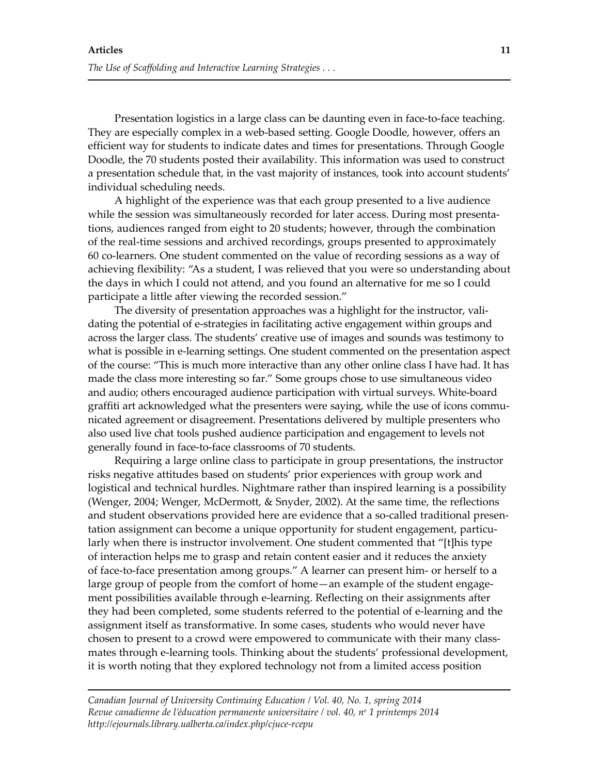Presentation logistics in a large class can be daunting even in face-to-face teaching. They are especially complex in a web-based setting. Google Doodle, however, offers an efficient way for students to indicate dates and times for presentations. Through Google Doodle, the 70 students posted their availability. This information was used to construct a presentation schedule that, in the vast majority of instances, took into account students' individual scheduling needs.

A highlight of the experience was that each group presented to a live audience while the session was simultaneously recorded for later access. During most presentations, audiences ranged from eight to 20 students; however, through the combination of the real-time sessions and archived recordings, groups presented to approximately 60 co-learners. One student commented on the value of recording sessions as a way of achieving flexibility: "As a student, I was relieved that you were so understanding about the days in which I could not attend, and you found an alternative for me so I could participate a little after viewing the recorded session."

The diversity of presentation approaches was a highlight for the instructor, validating the potential of e-strategies in facilitating active engagement within groups and across the larger class. The students' creative use of images and sounds was testimony to what is possible in e-learning settings. One student commented on the presentation aspect of the course: "This is much more interactive than any other online class I have had. It has made the class more interesting so far." Some groups chose to use simultaneous video and audio; others encouraged audience participation with virtual surveys. White-board graffiti art acknowledged what the presenters were saying, while the use of icons communicated agreement or disagreement. Presentations delivered by multiple presenters who also used live chat tools pushed audience participation and engagement to levels not generally found in face-to-face classrooms of 70 students.

Requiring a large online class to participate in group presentations, the instructor risks negative attitudes based on students' prior experiences with group work and logistical and technical hurdles. Nightmare rather than inspired learning is a possibility (Wenger, 2004; Wenger, McDermott, & Snyder, 2002). At the same time, the reflections and student observations provided here are evidence that a so-called traditional presentation assignment can become a unique opportunity for student engagement, particularly when there is instructor involvement. One student commented that "[t]his type of interaction helps me to grasp and retain content easier and it reduces the anxiety of face-to-face presentation among groups." A learner can present him- or herself to a large group of people from the comfort of home—an example of the student engagement possibilities available through e-learning. Reflecting on their assignments after they had been completed, some students referred to the potential of e-learning and the assignment itself as transformative. In some cases, students who would never have chosen to present to a crowd were empowered to communicate with their many classmates through e-learning tools. Thinking about the students' professional development, it is worth noting that they explored technology not from a limited access position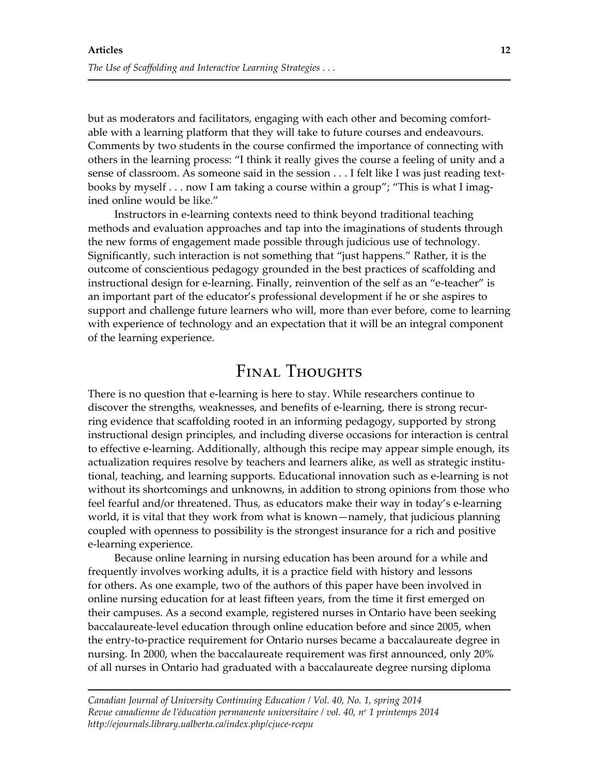but as moderators and facilitators, engaging with each other and becoming comfortable with a learning platform that they will take to future courses and endeavours. Comments by two students in the course confirmed the importance of connecting with others in the learning process: "I think it really gives the course a feeling of unity and a sense of classroom. As someone said in the session . . . I felt like I was just reading textbooks by myself . . . now I am taking a course within a group"; "This is what I imagined online would be like."

Instructors in e-learning contexts need to think beyond traditional teaching methods and evaluation approaches and tap into the imaginations of students through the new forms of engagement made possible through judicious use of technology. Significantly, such interaction is not something that "just happens." Rather, it is the outcome of conscientious pedagogy grounded in the best practices of scaffolding and instructional design for e-learning. Finally, reinvention of the self as an "e-teacher" is an important part of the educator's professional development if he or she aspires to support and challenge future learners who will, more than ever before, come to learning with experience of technology and an expectation that it will be an integral component of the learning experience.

# FINAL THOUGHTS

There is no question that e-learning is here to stay. While researchers continue to discover the strengths, weaknesses, and benefits of e-learning, there is strong recurring evidence that scaffolding rooted in an informing pedagogy, supported by strong instructional design principles, and including diverse occasions for interaction is central to effective e-learning. Additionally, although this recipe may appear simple enough, its actualization requires resolve by teachers and learners alike, as well as strategic institutional, teaching, and learning supports. Educational innovation such as e-learning is not without its shortcomings and unknowns, in addition to strong opinions from those who feel fearful and/or threatened. Thus, as educators make their way in today's e-learning world, it is vital that they work from what is known—namely, that judicious planning coupled with openness to possibility is the strongest insurance for a rich and positive e-learning experience.

Because online learning in nursing education has been around for a while and frequently involves working adults, it is a practice field with history and lessons for others. As one example, two of the authors of this paper have been involved in online nursing education for at least fifteen years, from the time it first emerged on their campuses. As a second example, registered nurses in Ontario have been seeking baccalaureate-level education through online education before and since 2005, when the entry-to-practice requirement for Ontario nurses became a baccalaureate degree in nursing. In 2000, when the baccalaureate requirement was first announced, only 20% of all nurses in Ontario had graduated with a baccalaureate degree nursing diploma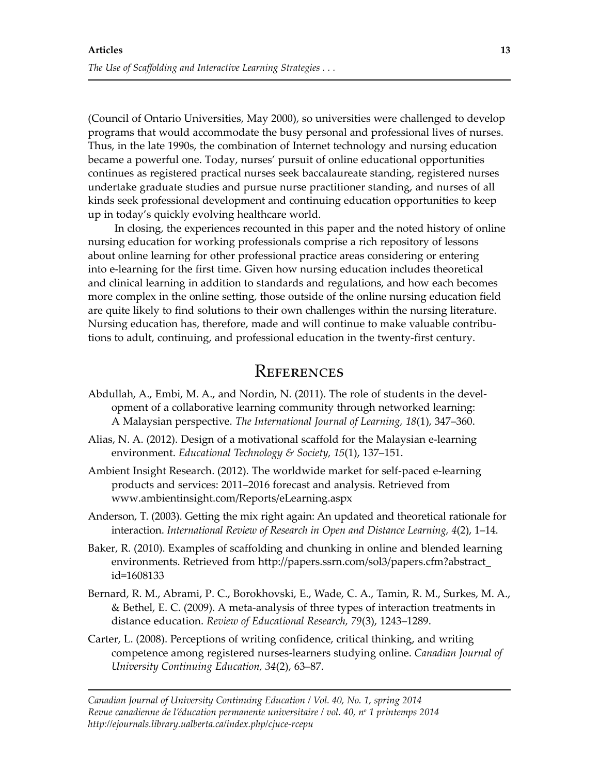(Council of Ontario Universities, May 2000), so universities were challenged to develop programs that would accommodate the busy personal and professional lives of nurses. Thus, in the late 1990s, the combination of Internet technology and nursing education became a powerful one. Today, nurses' pursuit of online educational opportunities continues as registered practical nurses seek baccalaureate standing, registered nurses undertake graduate studies and pursue nurse practitioner standing, and nurses of all kinds seek professional development and continuing education opportunities to keep up in today's quickly evolving healthcare world.

In closing, the experiences recounted in this paper and the noted history of online nursing education for working professionals comprise a rich repository of lessons about online learning for other professional practice areas considering or entering into e-learning for the first time. Given how nursing education includes theoretical and clinical learning in addition to standards and regulations, and how each becomes more complex in the online setting, those outside of the online nursing education field are quite likely to find solutions to their own challenges within the nursing literature. Nursing education has, therefore, made and will continue to make valuable contributions to adult, continuing, and professional education in the twenty-first century.

#### **REFERENCES**

- Abdullah, A., Embi, M. A., and Nordin, N. (2011). The role of students in the development of a collaborative learning community through networked learning: A Malaysian perspective. *The International Journal of Learning, 18*(1), 347–360.
- Alias, N. A. (2012). Design of a motivational scaffold for the Malaysian e-learning environment. *Educational Technology & Society, 15*(1), 137–151.
- Ambient Insight Research. (2012). The worldwide market for self-paced e-learning products and services: 2011–2016 forecast and analysis. Retrieved from www.ambientinsight.com/Reports/eLearning.aspx
- Anderson, T. (2003). Getting the mix right again: An updated and theoretical rationale for interaction. *International Review of Research in Open and Distance Learning, 4*(2), 1–14.
- Baker, R. (2010). Examples of scaffolding and chunking in online and blended learning environments. Retrieved from http://papers.ssrn.com/sol3/papers.cfm?abstract\_ id=1608133
- Bernard, R. M., Abrami, P. C., Borokhovski, E., Wade, C. A., Tamin, R. M., Surkes, M. A., & Bethel, E. C. (2009). A meta-analysis of three types of interaction treatments in distance education. *Review of Educational Research, 79*(3), 1243–1289.
- Carter, L. (2008). Perceptions of writing confidence, critical thinking, and writing competence among registered nurses-learners studying online. *Canadian Journal of University Continuing Education, 34*(2), 63–87.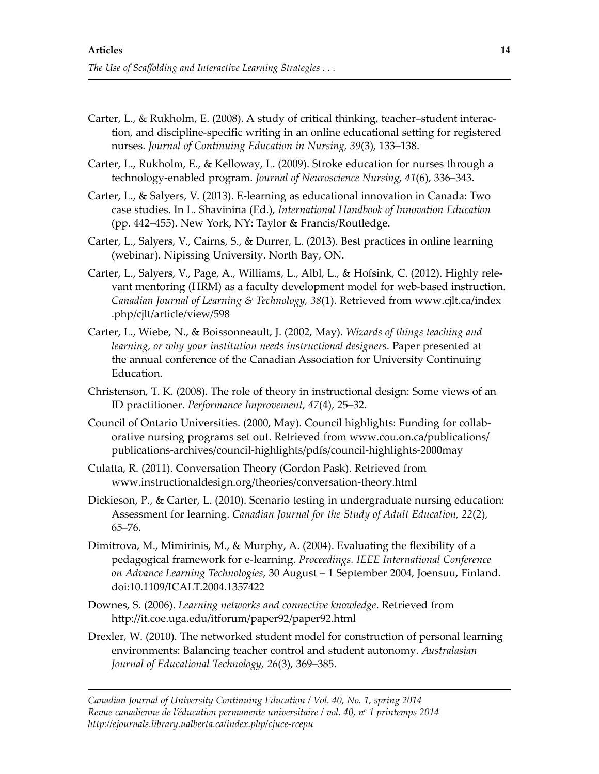- Carter, L., & Rukholm, E. (2008). A study of critical thinking, teacher–student interaction, and discipline-specific writing in an online educational setting for registered nurses. *Journal of Continuing Education in Nursing, 39*(3), 133–138.
- Carter, L., Rukholm, E., & Kelloway, L. (2009). Stroke education for nurses through a technology-enabled program. *Journal of Neuroscience Nursing, 41*(6), 336–343.
- Carter, L., & Salyers, V. (2013). E-learning as educational innovation in Canada: Two case studies. In L. Shavinina (Ed.), *International Handbook of Innovation Education* (pp. 442–455). New York, NY: Taylor & Francis/Routledge.
- Carter, L., Salyers, V., Cairns, S., & Durrer, L. (2013). Best practices in online learning (webinar). Nipissing University. North Bay, ON.
- Carter, L., Salyers, V., Page, A., Williams, L., Albl, L., & Hofsink, C. (2012). Highly relevant mentoring (HRM) as a faculty development model for web-based instruction. *Canadian Journal of Learning & Technology, 38*(1). Retrieved from www.cjlt.ca/index .php/cjlt/article/view/598
- Carter, L., Wiebe, N., & Boissonneault, J. (2002, May). *Wizards of things teaching and learning, or why your institution needs instructional designers*. Paper presented at the annual conference of the Canadian Association for University Continuing Education.
- Christenson, T. K. (2008). The role of theory in instructional design: Some views of an ID practitioner. *Performance Improvement, 47*(4), 25–32.
- Council of Ontario Universities. (2000, May). Council highlights: Funding for collaborative nursing programs set out. Retrieved from www.cou.on.ca/publications/ publications-archives/council-highlights/pdfs/council-highlights-2000may
- Culatta, R. (2011). Conversation Theory (Gordon Pask). Retrieved from www.instructionaldesign.org/theories/conversation-theory.html
- Dickieson, P., & Carter, L. (2010). Scenario testing in undergraduate nursing education: Assessment for learning. *Canadian Journal for the Study of Adult Education, 22*(2), 65–76.
- Dimitrova, M., Mimirinis, M., & Murphy, A. (2004). Evaluating the flexibility of a pedagogical framework for e-learning. *Proceedings. IEEE International Conference on Advance Learning Technologies*, 30 August – 1 September 2004, Joensuu, Finland. doi:10.1109/ICALT.2004.1357422
- Downes, S. (2006). *Learning networks and connective knowledge*. Retrieved from http://it.coe.uga.edu/itforum/paper92/paper92.html
- Drexler, W. (2010). The networked student model for construction of personal learning environments: Balancing teacher control and student autonomy. *Australasian Journal of Educational Technology, 26*(3), 369–385.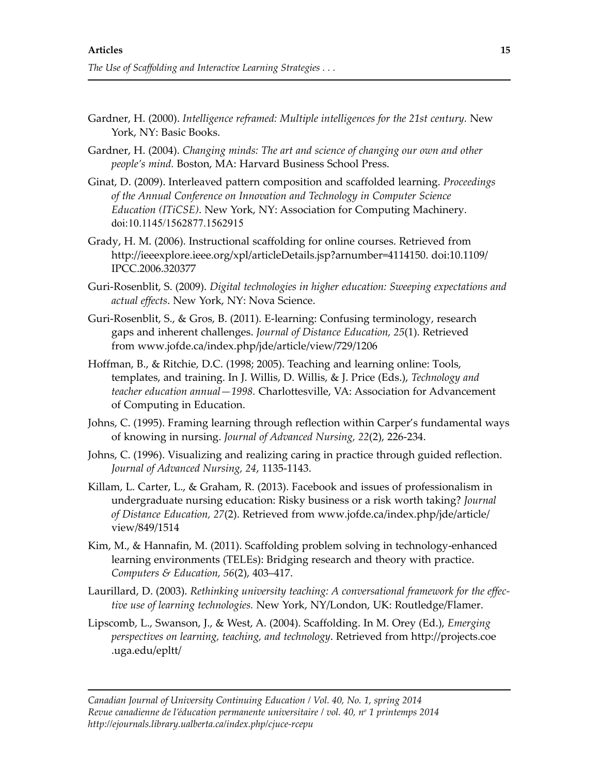*The Use of Scaffolding and Interactive Learning Strategies . . .*

- Gardner, H. (2000). *Intelligence reframed: Multiple intelligences for the 21st century.* New York, NY: Basic Books.
- Gardner, H. (2004). *Changing minds: The art and science of changing our own and other people's mind.* Boston, MA: Harvard Business School Press.
- Ginat, D. (2009). Interleaved pattern composition and scaffolded learning. *Proceedings of the Annual Conference on Innovation and Technology in Computer Science Education (ITiCSE)*. New York, NY: Association for Computing Machinery. doi:10.1145/1562877.1562915
- Grady, H. M. (2006). Instructional scaffolding for online courses. Retrieved from http://ieeexplore.ieee.org/xpl/articleDetails.jsp?arnumber=4114150. doi:10.1109/ IPCC.2006.320377
- Guri-Rosenblit, S. (2009). *Digital technologies in higher education: Sweeping expectations and actual effects*. New York, NY: Nova Science.
- Guri-Rosenblit, S., & Gros, B. (2011). E-learning: Confusing terminology, research gaps and inherent challenges. *Journal of Distance Education, 25*(1). Retrieved from www.jofde.ca/index.php/jde/article/view/729/1206
- Hoffman, B., & Ritchie, D.C. (1998; 2005). Teaching and learning online: Tools, templates, and training. In J. Willis, D. Willis, & J. Price (Eds.), *Technology and teacher education annual—1998.* Charlottesville, VA: Association for Advancement of Computing in Education.
- Johns, C. (1995). Framing learning through reflection within Carper's fundamental ways of knowing in nursing. *Journal of Advanced Nursing, 22*(2), 226-234.
- Johns, C. (1996). Visualizing and realizing caring in practice through guided reflection. *Journal of Advanced Nursing, 24*, 1135-1143.
- Killam, L. Carter, L., & Graham, R. (2013). Facebook and issues of professionalism in undergraduate nursing education: Risky business or a risk worth taking? *Journal of Distance Education, 27*(2). Retrieved from www.jofde.ca/index.php/jde/article/ view/849/1514
- Kim, M., & Hannafin, M. (2011). Scaffolding problem solving in technology-enhanced learning environments (TELEs): Bridging research and theory with practice. *Computers & Education, 56*(2), 403–417.
- Laurillard, D. (2003). *Rethinking university teaching: A conversational framework for the effective use of learning technologies.* New York, NY/London, UK: Routledge/Flamer.
- Lipscomb, L., Swanson, J., & West, A. (2004). Scaffolding. In M. Orey (Ed.), *Emerging perspectives on learning, teaching, and technology*. Retrieved from http://projects.coe .uga.edu/epltt/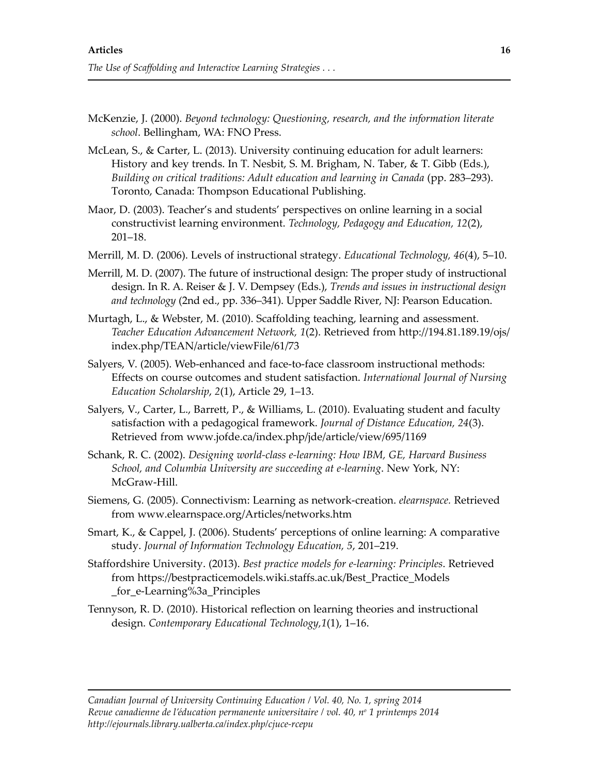- McKenzie, J. (2000). *Beyond technology: Questioning, research, and the information literate school*. Bellingham, WA: FNO Press.
- McLean, S., & Carter, L. (2013). University continuing education for adult learners: History and key trends. In T. Nesbit, S. M. Brigham, N. Taber, & T. Gibb (Eds.), *Building on critical traditions: Adult education and learning in Canada* (pp. 283–293). Toronto, Canada: Thompson Educational Publishing.
- Maor, D. (2003). Teacher's and students' perspectives on online learning in a social constructivist learning environment. *Technology, Pedagogy and Education, 12*(2), 201–18.
- Merrill, M. D. (2006). Levels of instructional strategy. *Educational Technology, 46*(4), 5–10.
- Merrill, M. D. (2007). The future of instructional design: The proper study of instructional design. In R. A. Reiser & J. V. Dempsey (Eds.), *Trends and issues in instructional design and technology* (2nd ed., pp. 336–341). Upper Saddle River, NJ: Pearson Education.
- Murtagh, L., & Webster, M. (2010). Scaffolding teaching, learning and assessment. *Teacher Education Advancement Network, 1*(2). Retrieved from http://194.81.189.19/ojs/ index.php/TEAN/article/viewFile/61/73
- Salyers, V. (2005). Web-enhanced and face-to-face classroom instructional methods: Effects on course outcomes and student satisfaction. *International Journal of Nursing Education Scholarship*, *2*(1), Article 29, 1–13.
- Salyers, V., Carter, L., Barrett, P., & Williams, L. (2010). Evaluating student and faculty satisfaction with a pedagogical framework. *Journal of Distance Education, 24*(3). Retrieved from www.jofde.ca/index.php/jde/article/view/695/1169
- Schank, R. C. (2002). *Designing world-class e-learning: How IBM, GE, Harvard Business School, and Columbia University are succeeding at e-learning*. New York, NY: McGraw-Hill.
- Siemens, G. (2005). Connectivism: Learning as network-creation. *elearnspace.* Retrieved from www.elearnspace.org/Articles/networks.htm
- Smart, K., & Cappel, J. (2006). Students' perceptions of online learning: A comparative study. *Journal of Information Technology Education, 5*, 201–219.
- Staffordshire University. (2013). *Best practice models for e-learning: Principles*. Retrieved from https://bestpracticemodels.wiki.staffs.ac.uk/Best\_Practice\_Models \_for\_e-Learning%3a\_Principles
- Tennyson, R. D. (2010). Historical reflection on learning theories and instructional design. *Contemporary Educational Technology,1*(1), 1–16.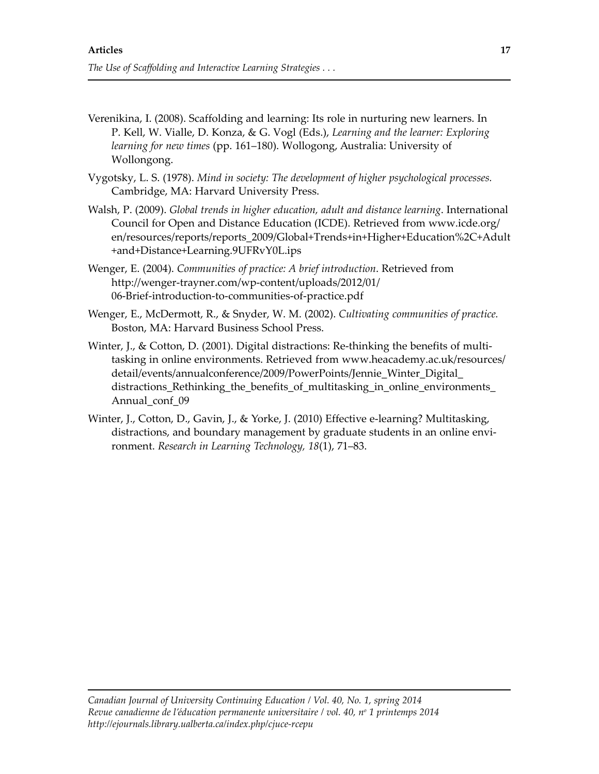- Verenikina, I. (2008). Scaffolding and learning: Its role in nurturing new learners. In P. Kell, W. Vialle, D. Konza, & G. Vogl (Eds.), *Learning and the learner: Exploring learning for new times* (pp. 161–180). Wollogong, Australia: University of Wollongong.
- Vygotsky, L. S. (1978). *Mind in society: The development of higher psychological processes.* Cambridge, MA: Harvard University Press.
- Walsh, P. (2009). *Global trends in higher education, adult and distance learning*. International Council for Open and Distance Education (ICDE). Retrieved from www.icde.org/ en/resources/reports/reports\_2009/Global+Trends+in+Higher+Education%2C+Adult +and+Distance+Learning.9UFRvY0L.ips
- Wenger, E. (2004). *Communities of practice: A brief introduction*. Retrieved from http://wenger-trayner.com/wp-content/uploads/2012/01/ 06-Brief-introduction-to-communities-of-practice.pdf
- Wenger, E., McDermott, R., & Snyder, W. M. (2002). *Cultivating communities of practice.* Boston, MA: Harvard Business School Press.
- Winter, J., & Cotton, D. (2001). Digital distractions: Re-thinking the benefits of multitasking in online environments. Retrieved from www.heacademy.ac.uk/resources/ detail/events/annualconference/2009/PowerPoints/Jennie\_Winter\_Digital\_ distractions\_Rethinking\_the\_benefits\_of\_multitasking\_in\_online\_environments\_ Annual conf 09
- Winter, J., Cotton, D., Gavin, J., & Yorke, J. (2010) Effective e-learning? Multitasking, distractions, and boundary management by graduate students in an online environment. *Research in Learning Technology, 18*(1), 71–83.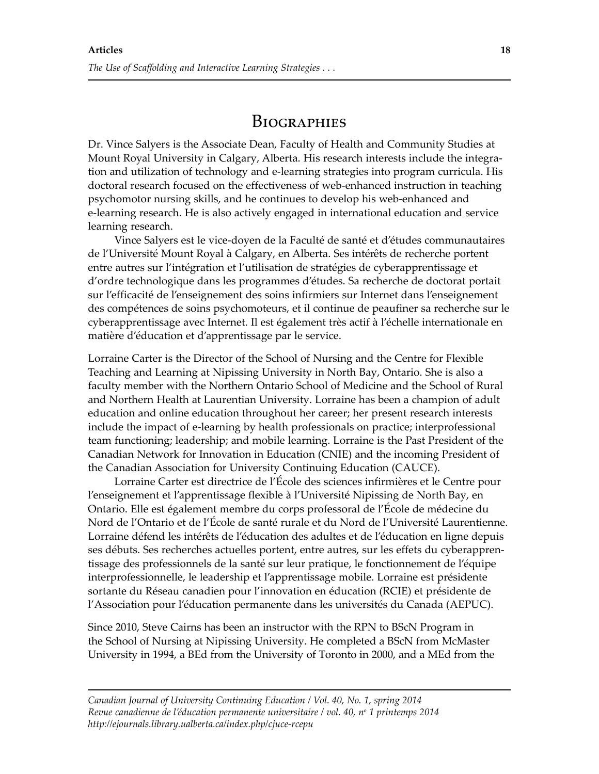# **BIOGRAPHIES**

Dr. Vince Salyers is the Associate Dean, Faculty of Health and Community Studies at Mount Royal University in Calgary, Alberta. His research interests include the integration and utilization of technology and e-learning strategies into program curricula. His doctoral research focused on the effectiveness of web-enhanced instruction in teaching psychomotor nursing skills, and he continues to develop his web-enhanced and e-learning research. He is also actively engaged in international education and service learning research.

Vince Salyers est le vice-doyen de la Faculté de santé et d'études communautaires de l'Université Mount Royal à Calgary, en Alberta. Ses intérêts de recherche portent entre autres sur l'intégration et l'utilisation de stratégies de cyberapprentissage et d'ordre technologique dans les programmes d'études. Sa recherche de doctorat portait sur l'efficacité de l'enseignement des soins infirmiers sur Internet dans l'enseignement des compétences de soins psychomoteurs, et il continue de peaufiner sa recherche sur le cyberapprentissage avec Internet. Il est également très actif à l'échelle internationale en matière d'éducation et d'apprentissage par le service.

Lorraine Carter is the Director of the School of Nursing and the Centre for Flexible Teaching and Learning at Nipissing University in North Bay, Ontario. She is also a faculty member with the Northern Ontario School of Medicine and the School of Rural and Northern Health at Laurentian University. Lorraine has been a champion of adult education and online education throughout her career; her present research interests include the impact of e-learning by health professionals on practice; interprofessional team functioning; leadership; and mobile learning. Lorraine is the Past President of the Canadian Network for Innovation in Education (CNIE) and the incoming President of the Canadian Association for University Continuing Education (CAUCE).

Lorraine Carter est directrice de l'École des sciences infirmières et le Centre pour l'enseignement et l'apprentissage flexible à l'Université Nipissing de North Bay, en Ontario. Elle est également membre du corps professoral de l'École de médecine du Nord de l'Ontario et de l'École de santé rurale et du Nord de l'Université Laurentienne. Lorraine défend les intérêts de l'éducation des adultes et de l'éducation en ligne depuis ses débuts. Ses recherches actuelles portent, entre autres, sur les effets du cyberapprentissage des professionnels de la santé sur leur pratique, le fonctionnement de l'équipe interprofessionnelle, le leadership et l'apprentissage mobile. Lorraine est présidente sortante du Réseau canadien pour l'innovation en éducation (RCIE) et présidente de l'Association pour l'éducation permanente dans les universités du Canada (AEPUC).

Since 2010, Steve Cairns has been an instructor with the RPN to BScN Program in the School of Nursing at Nipissing University. He completed a BScN from McMaster University in 1994, a BEd from the University of Toronto in 2000, and a MEd from the